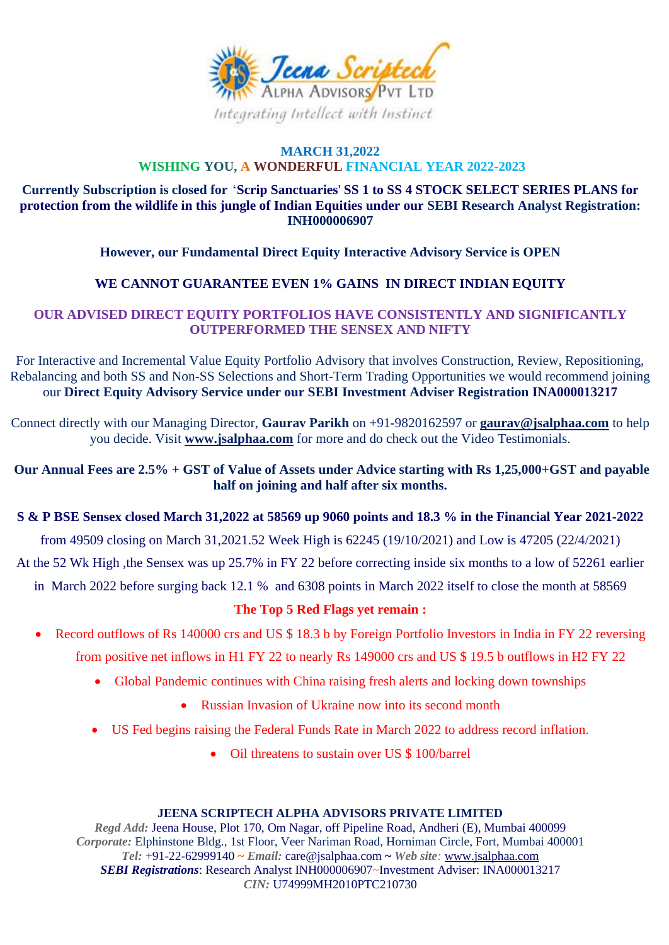

#### **MARCH 31,2022 WISHING YOU, A WONDERFUL FINANCIAL YEAR 2022-2023**

# **Currently Subscription is closed for** '**Scrip Sanctuaries**' **SS 1 to SS 4 STOCK SELECT SERIES PLANS for protection from the wildlife in this jungle of Indian Equities under our SEBI Research Analyst Registration: INH000006907**

# **However, our Fundamental Direct Equity Interactive Advisory Service is OPEN**

# **WE CANNOT GUARANTEE EVEN 1% GAINS IN DIRECT INDIAN EQUITY**

# **OUR ADVISED DIRECT EQUITY PORTFOLIOS HAVE CONSISTENTLY AND SIGNIFICANTLY OUTPERFORMED THE SENSEX AND NIFTY**

For Interactive and Incremental Value Equity Portfolio Advisory that involves Construction, Review, Repositioning, Rebalancing and both SS and Non-SS Selections and Short-Term Trading Opportunities we would recommend joining our **Direct Equity Advisory Service under our SEBI Investment Adviser Registration INA000013217**

Connect directly with our Managing Director, **Gaurav Parikh** on +91-9820162597 or **[gaurav@jsalphaa.com](mailto:gaurav@jsalphaa.com)** to help you decide. Visit **[www.jsalphaa.com](http://www.jsalphaa.com/)** for more and do check out the Video Testimonials.

**Our Annual Fees are 2.5% + GST of Value of Assets under Advice starting with Rs 1,25,000+GST and payable half on joining and half after six months.**

# **S & P BSE Sensex closed March 31,2022 at 58569 up 9060 points and 18.3 % in the Financial Year 2021-2022**

from 49509 closing on March 31,2021.52 Week High is 62245 (19/10/2021) and Low is 47205 (22/4/2021)

At the 52 Wk High ,the Sensex was up 25.7% in FY 22 before correcting inside six months to a low of 52261 earlier

in March 2022 before surging back 12.1 % and 6308 points in March 2022 itself to close the month at 58569

# **The Top 5 Red Flags yet remain :**

- Record outflows of Rs 140000 crs and US \$ 18.3 b by Foreign Portfolio Investors in India in FY 22 reversing from positive net inflows in H1 FY 22 to nearly Rs 149000 crs and US \$ 19.5 b outflows in H2 FY 22
	- Global Pandemic continues with China raising fresh alerts and locking down townships
		- Russian Invasion of Ukraine now into its second month
	- US Fed begins raising the Federal Funds Rate in March 2022 to address record inflation.
		- Oil threatens to sustain over US \$ 100/barrel

#### **JEENA SCRIPTECH ALPHA ADVISORS PRIVATE LIMITED**

*Regd Add:* Jeena House, Plot 170, Om Nagar, off Pipeline Road, Andheri (E), Mumbai 400099 *Corporate:* Elphinstone Bldg., 1st Floor, Veer Nariman Road, Horniman Circle, Fort, Mumbai 400001 *Tel:* +91-22-62999140 **~** *Email:* care@jsalphaa.com **~** *Web site:* [www.jsalphaa.com](http://www.jsalphaa.com/) *SEBI Registrations*: Research Analyst INH000006907~Investment Adviser: INA000013217 *CIN:* U74999MH2010PTC210730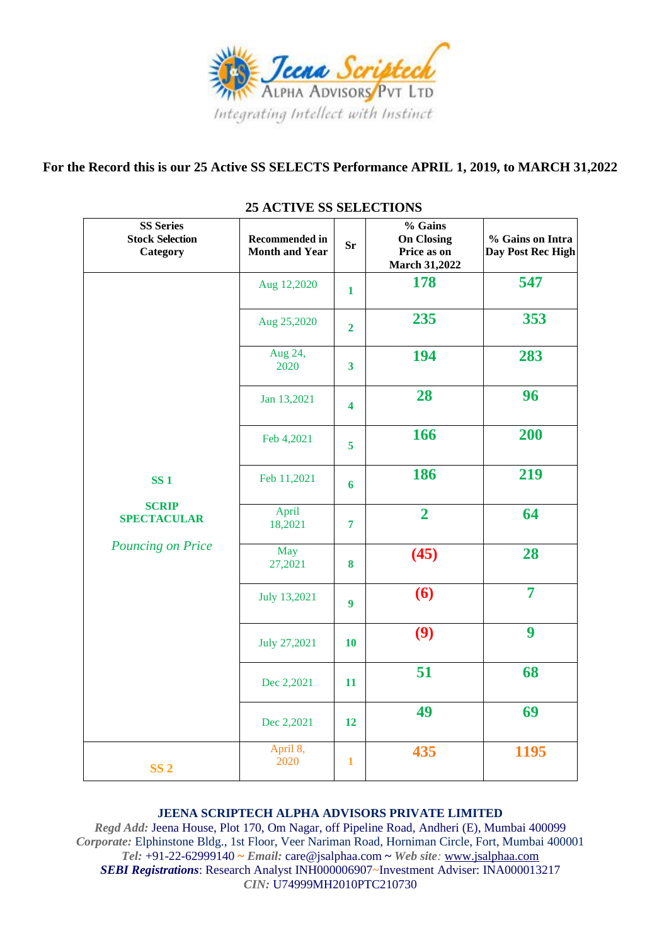

#### **For the Record this is our 25 Active SS SELECTS Performance APRIL 1, 2019, to MARCH 31,2022**

| <b>SS Series</b><br><b>Stock Selection</b><br>Category                       | <b>Recommended in</b><br><b>Month and Year</b> | <b>Sr</b>               | % Gains<br><b>On Closing</b><br>Price as on<br><b>March 31,2022</b> | % Gains on Intra<br>Day Post Rec High |
|------------------------------------------------------------------------------|------------------------------------------------|-------------------------|---------------------------------------------------------------------|---------------------------------------|
| <b>SS1</b><br><b>SCRIP</b><br><b>SPECTACULAR</b><br><b>Pouncing on Price</b> | Aug 12,2020                                    | $\mathbf{1}$            | 178                                                                 | 547                                   |
|                                                                              | Aug 25,2020                                    | $\overline{2}$          | 235                                                                 | 353                                   |
|                                                                              | Aug 24,<br>2020                                | $\overline{\mathbf{3}}$ | 194                                                                 | 283                                   |
|                                                                              | Jan 13,2021                                    | 4                       | 28                                                                  | 96                                    |
|                                                                              | Feb 4,2021                                     | 5                       | 166                                                                 | 200                                   |
|                                                                              | Feb 11,2021                                    | 6                       | 186                                                                 | 219                                   |
|                                                                              | April<br>18,2021                               | $\overline{7}$          | $\overline{2}$                                                      | 64                                    |
|                                                                              | May<br>27,2021                                 | 8                       | (45)                                                                | 28                                    |
|                                                                              | July 13,2021                                   | $\overline{9}$          | (6)                                                                 | $\overline{7}$                        |
|                                                                              | July 27,2021                                   | <b>10</b>               | (9)                                                                 | 9                                     |
|                                                                              | Dec 2,2021                                     | 11                      | 51                                                                  | 68                                    |
|                                                                              | Dec 2,2021                                     | 12                      | 49                                                                  | 69                                    |
| <b>SS 2</b>                                                                  | April 8,<br>2020                               | $\mathbf{1}$            | 435                                                                 | 1195                                  |

#### **25 ACTIVE SS SELECTIONS**

#### **JEENA SCRIPTECH ALPHA ADVISORS PRIVATE LIMITED**

*Regd Add:* Jeena House, Plot 170, Om Nagar, off Pipeline Road, Andheri (E), Mumbai 400099 *Corporate:* Elphinstone Bldg., 1st Floor, Veer Nariman Road, Horniman Circle, Fort, Mumbai 400001 *Tel:* +91-22-62999140 **~** *Email:* care@jsalphaa.com **~** *Web site:* [www.jsalphaa.com](http://www.jsalphaa.com/) *SEBI Registrations*: Research Analyst INH000006907~Investment Adviser: INA000013217 *CIN:* U74999MH2010PTC210730